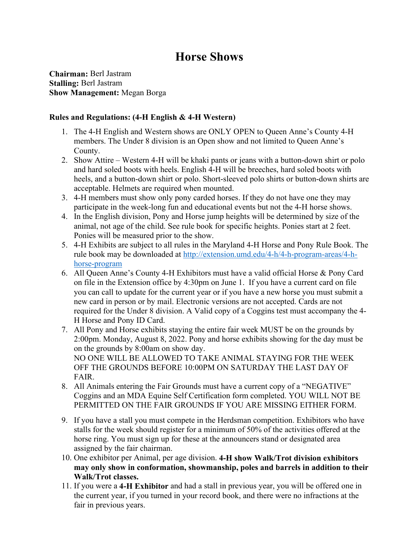# **Horse Shows**

**Chairman:** Berl Jastram **Stalling:** Berl Jastram **Show Management:** Megan Borga

## **Rules and Regulations: (4-H English & 4-H Western)**

- 1. The 4-H English and Western shows are ONLY OPEN to Queen Anne's County 4-H members. The Under 8 division is an Open show and not limited to Queen Anne's County.
- 2. Show Attire Western 4-H will be khaki pants or jeans with a button-down shirt or polo and hard soled boots with heels. English 4-H will be breeches, hard soled boots with heels, and a button-down shirt or polo. Short-sleeved polo shirts or button-down shirts are acceptable. Helmets are required when mounted.
- 3. 4-H members must show only pony carded horses. If they do not have one they may participate in the week-long fun and educational events but not the 4-H horse shows.
- 4. In the English division, Pony and Horse jump heights will be determined by size of the animal, not age of the child. See rule book for specific heights. Ponies start at 2 feet. Ponies will be measured prior to the show.
- 5. 4-H Exhibits are subject to all rules in the Maryland 4-H Horse and Pony Rule Book. The rule book may be downloaded at [http://extension.umd.edu/4-h/4-h-program-areas/4-h](http://extension.umd.edu/4-h/4-h-program-areas/4-h-horse-program)[horse-program](http://extension.umd.edu/4-h/4-h-program-areas/4-h-horse-program)
- 6. All Queen Anne's County 4-H Exhibitors must have a valid official Horse & Pony Card on file in the Extension office by 4:30pm on June 1. If you have a current card on file you can call to update for the current year or if you have a new horse you must submit a new card in person or by mail. Electronic versions are not accepted. Cards are not required for the Under 8 division. A Valid copy of a Coggins test must accompany the 4- H Horse and Pony ID Card.
- 7. All Pony and Horse exhibits staying the entire fair week MUST be on the grounds by 2:00pm. Monday, August 8, 2022. Pony and horse exhibits showing for the day must be on the grounds by 8:00am on show day. NO ONE WILL BE ALLOWED TO TAKE ANIMAL STAYING FOR THE WEEK OFF THE GROUNDS BEFORE 10:00PM ON SATURDAY THE LAST DAY OF FAIR.
- 8. All Animals entering the Fair Grounds must have a current copy of a "NEGATIVE" Coggins and an MDA Equine Self Certification form completed. YOU WILL NOT BE PERMITTED ON THE FAIR GROUNDS IF YOU ARE MISSING EITHER FORM.
- 9. If you have a stall you must compete in the Herdsman competition. Exhibitors who have stalls for the week should register for a minimum of 50% of the activities offered at the horse ring. You must sign up for these at the announcers stand or designated area assigned by the fair chairman.
- 10. One exhibitor per Animal, per age division. **4-H show Walk/Trot division exhibitors may only show in conformation, showmanship, poles and barrels in addition to their Walk/Trot classes.**
- 11. If you were a **4-H Exhibitor** and had a stall in previous year, you will be offered one in the current year, if you turned in your record book, and there were no infractions at the fair in previous years.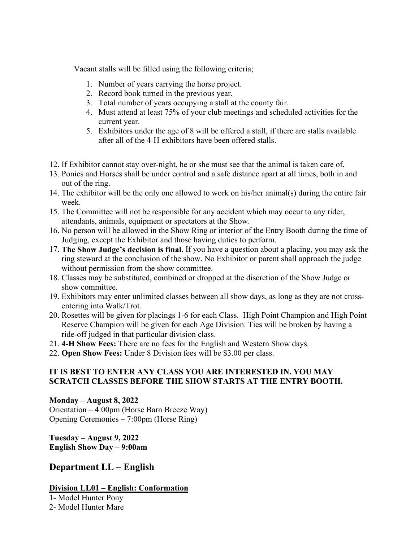Vacant stalls will be filled using the following criteria;

- 1. Number of years carrying the horse project.
- 2. Record book turned in the previous year.
- 3. Total number of years occupying a stall at the county fair.
- 4. Must attend at least 75% of your club meetings and scheduled activities for the current year.
- 5. Exhibitors under the age of 8 will be offered a stall, if there are stalls available after all of the 4-H exhibitors have been offered stalls.
- 12. If Exhibitor cannot stay over-night, he or she must see that the animal is taken care of.
- 13. Ponies and Horses shall be under control and a safe distance apart at all times, both in and out of the ring.
- 14. The exhibitor will be the only one allowed to work on his/her animal(s) during the entire fair week.
- 15. The Committee will not be responsible for any accident which may occur to any rider, attendants, animals, equipment or spectators at the Show.
- 16. No person will be allowed in the Show Ring or interior of the Entry Booth during the time of Judging, except the Exhibitor and those having duties to perform.
- 17. **The Show Judge's decision is final.** If you have a question about a placing, you may ask the ring steward at the conclusion of the show. No Exhibitor or parent shall approach the judge without permission from the show committee.
- 18. Classes may be substituted, combined or dropped at the discretion of the Show Judge or show committee.
- 19. Exhibitors may enter unlimited classes between all show days, as long as they are not crossentering into Walk/Trot.
- 20. Rosettes will be given for placings 1-6 for each Class. High Point Champion and High Point Reserve Champion will be given for each Age Division. Ties will be broken by having a ride-off judged in that particular division class.
- 21. **4-H Show Fees:** There are no fees for the English and Western Show days.
- 22. **Open Show Fees:** Under 8 Division fees will be \$3.00 per class.

## **IT IS BEST TO ENTER ANY CLASS YOU ARE INTERESTED IN. YOU MAY SCRATCH CLASSES BEFORE THE SHOW STARTS AT THE ENTRY BOOTH.**

## **Monday – August 8, 2022**

Orientation – 4:00pm (Horse Barn Breeze Way) Opening Ceremonies – 7:00pm (Horse Ring)

**Tuesday – August 9, 2022 English Show Day – 9:00am** 

# **Department LL – English**

## **Division LL01 – English: Conformation**

1- Model Hunter Pony 2- Model Hunter Mare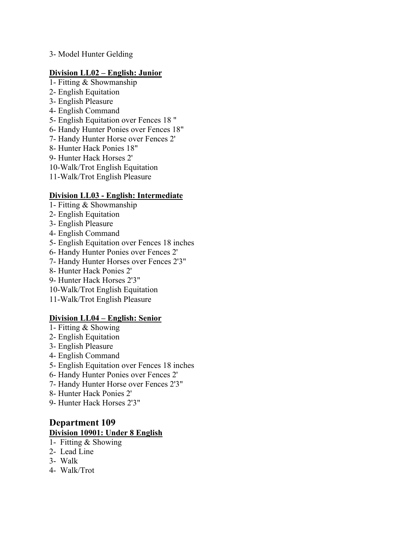3- Model Hunter Gelding

#### **Division LL02 – English: Junior**

- 1- Fitting & Showmanship
- 2- English Equitation
- 3- English Pleasure
- 4- English Command
- 5- English Equitation over Fences 18 "
- 6- Handy Hunter Ponies over Fences 18"
- 7- Handy Hunter Horse over Fences 2'
- 8- Hunter Hack Ponies 18"
- 9- Hunter Hack Horses 2'
- 10-Walk/Trot English Equitation
- 11-Walk/Trot English Pleasure

## **Division LL03 - English: Intermediate**

- 1- Fitting & Showmanship
- 2- English Equitation
- 3- English Pleasure
- 4- English Command
- 5- English Equitation over Fences 18 inches
- 6- Handy Hunter Ponies over Fences 2'
- 7- Handy Hunter Horses over Fences 2'3"
- 8- Hunter Hack Ponies 2'
- 9- Hunter Hack Horses 2'3"
- 10-Walk/Trot English Equitation
- 11-Walk/Trot English Pleasure

## **Division LL04 – English: Senior**

- 1- Fitting & Showing
- 2- English Equitation
- 3- English Pleasure
- 4- English Command
- 5- English Equitation over Fences 18 inches
- 6- Handy Hunter Ponies over Fences 2'
- 7- Handy Hunter Horse over Fences 2'3"
- 8- Hunter Hack Ponies 2'
- 9- Hunter Hack Horses 2'3"

## **Department 109 Division 10901: Under 8 English**

- 1- Fitting & Showing
- 2- Lead Line
- 3- Walk
- 4- Walk/Trot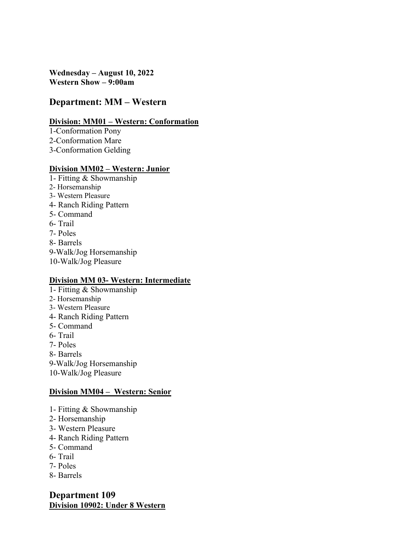**Wednesday – August 10, 2022 Western Show – 9:00am** 

# **Department: MM – Western**

## **Division: MM01 – Western: Conformation**

1-Conformation Pony 2-Conformation Mare 3-Conformation Gelding

#### **Division MM02 – Western: Junior**

1- Fitting & Showmanship 2- Horsemanship 3- Western Pleasure 4- Ranch Riding Pattern 5- Command 6- Trail 7- Poles 8- Barrels 9-Walk/Jog Horsemanship 10-Walk/Jog Pleasure

#### **Division MM 03- Western: Intermediate**

- 1- Fitting & Showmanship
- 2- Horsemanship
- 3- Western Pleasure
- 4- Ranch Riding Pattern
- 5- Command
- 6- Trail
- 7- Poles
- 8- Barrels
- 9-Walk/Jog Horsemanship
- 10-Walk/Jog Pleasure

## **Division MM04 – Western: Senior**

- 1- Fitting & Showmanship
- 2- Horsemanship
- 3- Western Pleasure
- 4- Ranch Riding Pattern
- 5- Command
- 6- Trail
- 7- Poles
- 8- Barrels

**Department 109 Division 10902: Under 8 Western**